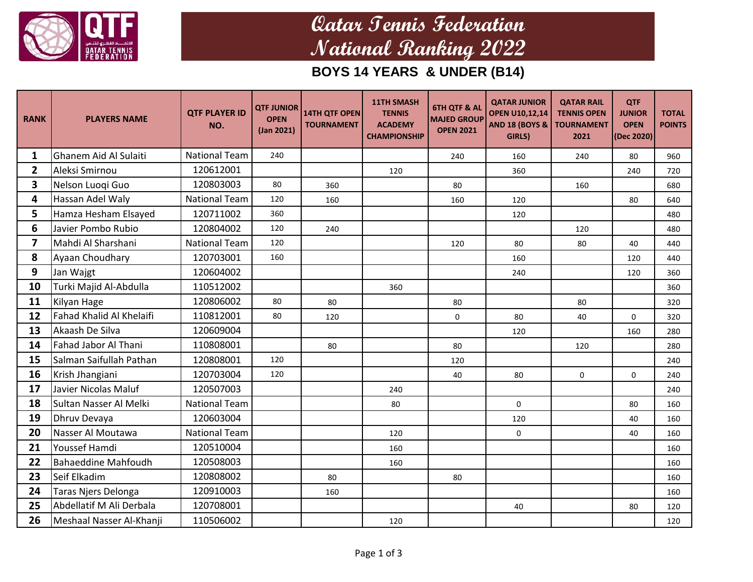

## **Qatar Tennis Federation National Ranking 2022**

### **BOYS 14 YEARS & UNDER (B14)**

| <b>RANK</b>    | <b>PLAYERS NAME</b>        | <b>QTF PLAYER ID</b><br>NO. | <b>QTF JUNIOR</b><br><b>OPEN</b><br>(Jan 2021) | 14TH QTF OPEN<br><b>TOURNAMENT</b> | <b>11TH SMASH</b><br><b>TENNIS</b><br><b>ACADEMY</b><br><b>CHAMPIONSHIP</b> | <b>6TH QTF &amp; AL</b><br><b>MAJED GROUP</b><br><b>OPEN 2021</b> | <b>QATAR JUNIOR</b><br><b>OPEN U10,12,14</b><br><b>AND 18 (BOYS &amp;</b><br>GIRLS) | <b>QATAR RAIL</b><br><b>TENNIS OPEN</b><br><b>TOURNAMENT</b><br>2021 | <b>QTF</b><br><b>JUNIOR</b><br><b>OPEN</b><br>(Dec 2020) | <b>TOTAL</b><br><b>POINTS</b> |
|----------------|----------------------------|-----------------------------|------------------------------------------------|------------------------------------|-----------------------------------------------------------------------------|-------------------------------------------------------------------|-------------------------------------------------------------------------------------|----------------------------------------------------------------------|----------------------------------------------------------|-------------------------------|
| 1              | Ghanem Aid Al Sulaiti      | <b>National Team</b>        | 240                                            |                                    |                                                                             | 240                                                               | 160                                                                                 | 240                                                                  | 80                                                       | 960                           |
| $\mathbf{2}$   | Aleksi Smirnou             | 120612001                   |                                                |                                    | 120                                                                         |                                                                   | 360                                                                                 |                                                                      | 240                                                      | 720                           |
| 3              | Nelson Luogi Guo           | 120803003                   | 80                                             | 360                                |                                                                             | 80                                                                |                                                                                     | 160                                                                  |                                                          | 680                           |
| 4              | Hassan Adel Waly           | <b>National Team</b>        | 120                                            | 160                                |                                                                             | 160                                                               | 120                                                                                 |                                                                      | 80                                                       | 640                           |
| 5              | Hamza Hesham Elsayed       | 120711002                   | 360                                            |                                    |                                                                             |                                                                   | 120                                                                                 |                                                                      |                                                          | 480                           |
| 6              | Javier Pombo Rubio         | 120804002                   | 120                                            | 240                                |                                                                             |                                                                   |                                                                                     | 120                                                                  |                                                          | 480                           |
| $\overline{7}$ | Mahdi Al Sharshani         | <b>National Team</b>        | 120                                            |                                    |                                                                             | 120                                                               | 80                                                                                  | 80                                                                   | 40                                                       | 440                           |
| 8              | Ayaan Choudhary            | 120703001                   | 160                                            |                                    |                                                                             |                                                                   | 160                                                                                 |                                                                      | 120                                                      | 440                           |
| 9              | Jan Wajgt                  | 120604002                   |                                                |                                    |                                                                             |                                                                   | 240                                                                                 |                                                                      | 120                                                      | 360                           |
| 10             | Turki Majid Al-Abdulla     | 110512002                   |                                                |                                    | 360                                                                         |                                                                   |                                                                                     |                                                                      |                                                          | 360                           |
| 11             | Kilyan Hage                | 120806002                   | 80                                             | 80                                 |                                                                             | 80                                                                |                                                                                     | 80                                                                   |                                                          | 320                           |
| 12             | Fahad Khalid Al Khelaifi   | 110812001                   | 80                                             | 120                                |                                                                             | $\mathbf 0$                                                       | 80                                                                                  | 40                                                                   | 0                                                        | 320                           |
| 13             | Akaash De Silva            | 120609004                   |                                                |                                    |                                                                             |                                                                   | 120                                                                                 |                                                                      | 160                                                      | 280                           |
| 14             | Fahad Jabor Al Thani       | 110808001                   |                                                | 80                                 |                                                                             | 80                                                                |                                                                                     | 120                                                                  |                                                          | 280                           |
| 15             | Salman Saifullah Pathan    | 120808001                   | 120                                            |                                    |                                                                             | 120                                                               |                                                                                     |                                                                      |                                                          | 240                           |
| 16             | Krish Jhangiani            | 120703004                   | 120                                            |                                    |                                                                             | 40                                                                | 80                                                                                  | $\mathbf 0$                                                          | $\mathsf{O}\xspace$                                      | 240                           |
| 17             | Javier Nicolas Maluf       | 120507003                   |                                                |                                    | 240                                                                         |                                                                   |                                                                                     |                                                                      |                                                          | 240                           |
| 18             | Sultan Nasser Al Melki     | <b>National Team</b>        |                                                |                                    | 80                                                                          |                                                                   | $\mathbf 0$                                                                         |                                                                      | 80                                                       | 160                           |
| 19             | Dhruv Devaya               | 120603004                   |                                                |                                    |                                                                             |                                                                   | 120                                                                                 |                                                                      | 40                                                       | 160                           |
| 20             | Nasser Al Moutawa          | <b>National Team</b>        |                                                |                                    | 120                                                                         |                                                                   | $\mathbf 0$                                                                         |                                                                      | 40                                                       | 160                           |
| 21             | Youssef Hamdi              | 120510004                   |                                                |                                    | 160                                                                         |                                                                   |                                                                                     |                                                                      |                                                          | 160                           |
| 22             | <b>Bahaeddine Mahfoudh</b> | 120508003                   |                                                |                                    | 160                                                                         |                                                                   |                                                                                     |                                                                      |                                                          | 160                           |
| 23             | Seif Elkadim               | 120808002                   |                                                | 80                                 |                                                                             | 80                                                                |                                                                                     |                                                                      |                                                          | 160                           |
| 24             | Taras Njers Delonga        | 120910003                   |                                                | 160                                |                                                                             |                                                                   |                                                                                     |                                                                      |                                                          | 160                           |
| 25             | Abdellatif M Ali Derbala   | 120708001                   |                                                |                                    |                                                                             |                                                                   | 40                                                                                  |                                                                      | 80                                                       | 120                           |
| 26             | Meshaal Nasser Al-Khanji   | 110506002                   |                                                |                                    | 120                                                                         |                                                                   |                                                                                     |                                                                      |                                                          | 120                           |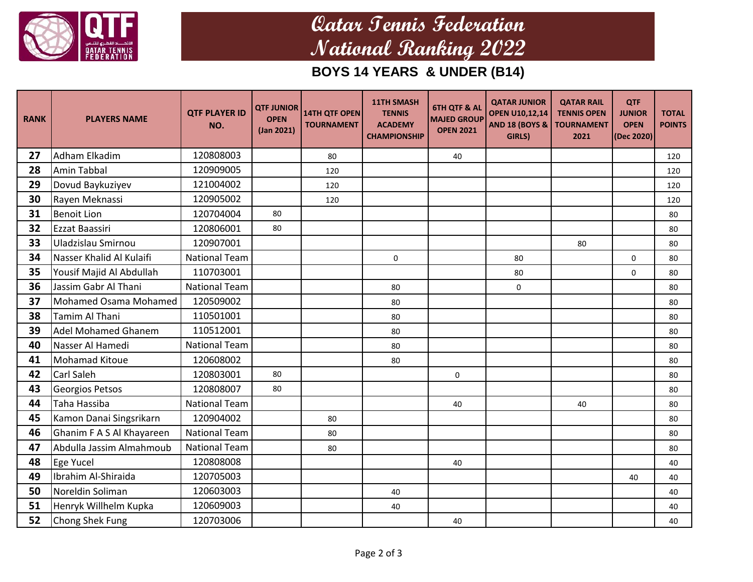

## **Qatar Tennis Federation National Ranking 2022**

### **BOYS 14 YEARS & UNDER (B14)**

| <b>RANK</b> | <b>PLAYERS NAME</b>        | <b>QTF PLAYER ID</b><br>NO. | <b>QTF JUNIOR</b><br><b>OPEN</b><br>(Jan 2021) | 14TH QTF OPEN<br><b>TOURNAMENT</b> | <b>11TH SMASH</b><br><b>TENNIS</b><br><b>ACADEMY</b><br><b>CHAMPIONSHIP</b> | <b>6TH QTF &amp; AL</b><br><b>MAJED GROUP</b><br><b>OPEN 2021</b> | <b>QATAR JUNIOR</b><br><b>OPEN U10,12,14</b><br><b>AND 18 (BOYS &amp;</b><br>GIRLS) | <b>QATAR RAIL</b><br><b>TENNIS OPEN</b><br><b>TOURNAMENT</b><br>2021 | <b>QTF</b><br><b>JUNIOR</b><br><b>OPEN</b><br>(Dec 2020) | <b>TOTAL</b><br><b>POINTS</b> |
|-------------|----------------------------|-----------------------------|------------------------------------------------|------------------------------------|-----------------------------------------------------------------------------|-------------------------------------------------------------------|-------------------------------------------------------------------------------------|----------------------------------------------------------------------|----------------------------------------------------------|-------------------------------|
| 27          | Adham Elkadim              | 120808003                   |                                                | 80                                 |                                                                             | 40                                                                |                                                                                     |                                                                      |                                                          | 120                           |
| 28          | <b>Amin Tabbal</b>         | 120909005                   |                                                | 120                                |                                                                             |                                                                   |                                                                                     |                                                                      |                                                          | 120                           |
| 29          | Dovud Baykuziyev           | 121004002                   |                                                | 120                                |                                                                             |                                                                   |                                                                                     |                                                                      |                                                          | 120                           |
| 30          | Rayen Meknassi             | 120905002                   |                                                | 120                                |                                                                             |                                                                   |                                                                                     |                                                                      |                                                          | 120                           |
| 31          | <b>Benoit Lion</b>         | 120704004                   | 80                                             |                                    |                                                                             |                                                                   |                                                                                     |                                                                      |                                                          | 80                            |
| 32          | Ezzat Baassiri             | 120806001                   | 80                                             |                                    |                                                                             |                                                                   |                                                                                     |                                                                      |                                                          | 80                            |
| 33          | Uladzislau Smirnou         | 120907001                   |                                                |                                    |                                                                             |                                                                   |                                                                                     | 80                                                                   |                                                          | 80                            |
| 34          | Nasser Khalid Al Kulaifi   | <b>National Team</b>        |                                                |                                    | $\mathbf 0$                                                                 |                                                                   | 80                                                                                  |                                                                      | 0                                                        | 80                            |
| 35          | Yousif Majid Al Abdullah   | 110703001                   |                                                |                                    |                                                                             |                                                                   | 80                                                                                  |                                                                      | $\mathbf 0$                                              | 80                            |
| 36          | Jassim Gabr Al Thani       | <b>National Team</b>        |                                                |                                    | 80                                                                          |                                                                   | $\mathbf 0$                                                                         |                                                                      |                                                          | 80                            |
| 37          | Mohamed Osama Mohamed      | 120509002                   |                                                |                                    | 80                                                                          |                                                                   |                                                                                     |                                                                      |                                                          | 80                            |
| 38          | <b>Tamim Al Thani</b>      | 110501001                   |                                                |                                    | 80                                                                          |                                                                   |                                                                                     |                                                                      |                                                          | 80                            |
| 39          | <b>Adel Mohamed Ghanem</b> | 110512001                   |                                                |                                    | 80                                                                          |                                                                   |                                                                                     |                                                                      |                                                          | 80                            |
| 40          | Nasser Al Hamedi           | <b>National Team</b>        |                                                |                                    | 80                                                                          |                                                                   |                                                                                     |                                                                      |                                                          | 80                            |
| 41          | <b>Mohamad Kitoue</b>      | 120608002                   |                                                |                                    | 80                                                                          |                                                                   |                                                                                     |                                                                      |                                                          | 80                            |
| 42          | <b>Carl Saleh</b>          | 120803001                   | 80                                             |                                    |                                                                             | $\mathbf 0$                                                       |                                                                                     |                                                                      |                                                          | 80                            |
| 43          | <b>Georgios Petsos</b>     | 120808007                   | 80                                             |                                    |                                                                             |                                                                   |                                                                                     |                                                                      |                                                          | 80                            |
| 44          | Taha Hassiba               | <b>National Team</b>        |                                                |                                    |                                                                             | 40                                                                |                                                                                     | 40                                                                   |                                                          | 80                            |
| 45          | Kamon Danai Singsrikarn    | 120904002                   |                                                | 80                                 |                                                                             |                                                                   |                                                                                     |                                                                      |                                                          | 80                            |
| 46          | Ghanim F A S Al Khayareen  | <b>National Team</b>        |                                                | 80                                 |                                                                             |                                                                   |                                                                                     |                                                                      |                                                          | 80                            |
| 47          | Abdulla Jassim Almahmoub   | <b>National Team</b>        |                                                | 80                                 |                                                                             |                                                                   |                                                                                     |                                                                      |                                                          | 80                            |
| 48          | Ege Yucel                  | 120808008                   |                                                |                                    |                                                                             | 40                                                                |                                                                                     |                                                                      |                                                          | 40                            |
| 49          | Ibrahim Al-Shiraida        | 120705003                   |                                                |                                    |                                                                             |                                                                   |                                                                                     |                                                                      | 40                                                       | 40                            |
| 50          | Noreldin Soliman           | 120603003                   |                                                |                                    | 40                                                                          |                                                                   |                                                                                     |                                                                      |                                                          | 40                            |
| 51          | Henryk Willhelm Kupka      | 120609003                   |                                                |                                    | 40                                                                          |                                                                   |                                                                                     |                                                                      |                                                          | 40                            |
| 52          | Chong Shek Fung            | 120703006                   |                                                |                                    |                                                                             | 40                                                                |                                                                                     |                                                                      |                                                          | 40                            |